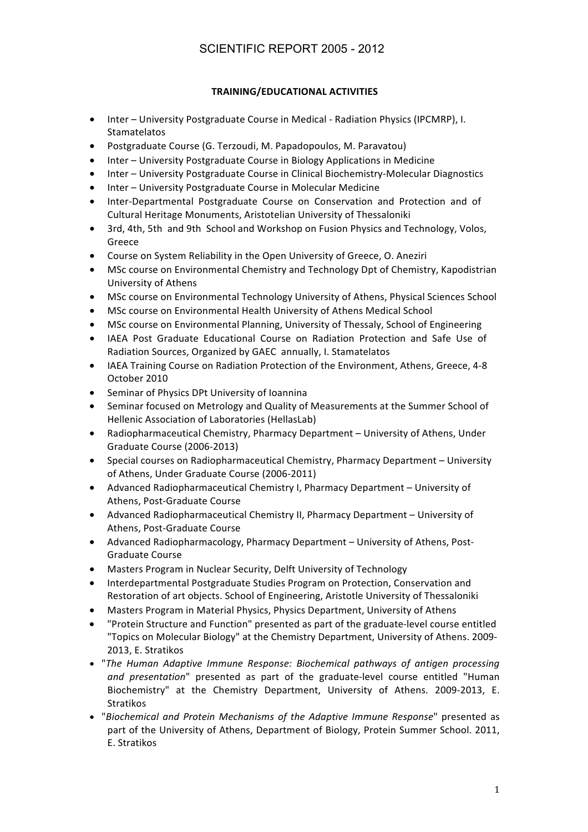## **TRAINING/EDUCATIONAL%ACTIVITIES**

- Inter University Postgraduate Course in Medical Radiation Physics (IPCMRP), I. Stamatelatos
- Postgraduate Course (G. Terzoudi, M. Papadopoulos, M. Paravatou)
- Inter University Postgraduate Course in Biology Applications in Medicine
- Inter University Postgraduate Course in Clinical Biochemistry-Molecular Diagnostics
- Inter University Postgraduate Course in Molecular Medicine
- Inter-Departmental Postgraduate Course on Conservation and Protection and of Cultural Heritage Monuments, Aristotelian University of Thessaloniki
- 3rd, 4th, 5th and 9th School and Workshop on Fusion Physics and Technology, Volos, Greece
- Course on System Reliability in the Open University of Greece, O. Aneziri
- MSc course on Environmental Chemistry and Technology Dpt of Chemistry, Kapodistrian University!of!Athens
- MSc course on Environmental Technology University of Athens, Physical Sciences School
- MSc course on Environmental Health University of Athens Medical School
- MSc course on Environmental Planning, University of Thessaly, School of Engineering
- IAEA Post Graduate Educational Course on Radiation Protection and Safe Use of Radiation Sources, Organized by GAEC annually, I. Stamatelatos
- IAEA Training Course on Radiation Protection of the Environment, Athens, Greece, 4-8 October 2010
- Seminar of Physics DPt University of Ioannina
- Seminar focused on Metrology and Quality of Measurements at the Summer School of Hellenic Association of Laboratories (HellasLab)
- Radiopharmaceutical Chemistry, Pharmacy Department University of Athens, Under Graduate Course (2006-2013)
- Special courses on Radiopharmaceutical Chemistry, Pharmacy Department University of Athens, Under Graduate Course (2006-2011)
- Advanced Radiopharmaceutical Chemistry I, Pharmacy Department University of Athens, Post-Graduate Course
- Advanced Radiopharmaceutical Chemistry II, Pharmacy Department University of Athens, Post-Graduate Course
- Advanced Radiopharmacology, Pharmacy Department University of Athens, Post-Graduate Course
- Masters Program in Nuclear Security, Delft University of Technology
- Interdepartmental Postgraduate Studies Program on Protection, Conservation and Restoration of art objects. School of Engineering, Aristotle University of Thessaloniki
- Masters Program in Material Physics, Physics Department, University of Athens
- "Protein Structure and Function" presented as part of the graduate-level course entitled "Topics on Molecular Biology" at the Chemistry Department, University of Athens. 2009-2013, E. Stratikos
- "The Human Adaptive Immune Response: Biochemical pathways of antigen processing *and presentation*" presented as part of the graduate-level course entitled "Human" Biochemistry" at the Chemistry Department, University of Athens. 2009-2013, E. Stratikos
- "Biochemical and Protein Mechanisms of the Adaptive Immune Response" presented as part of the University of Athens, Department of Biology, Protein Summer School. 2011, E. Stratikos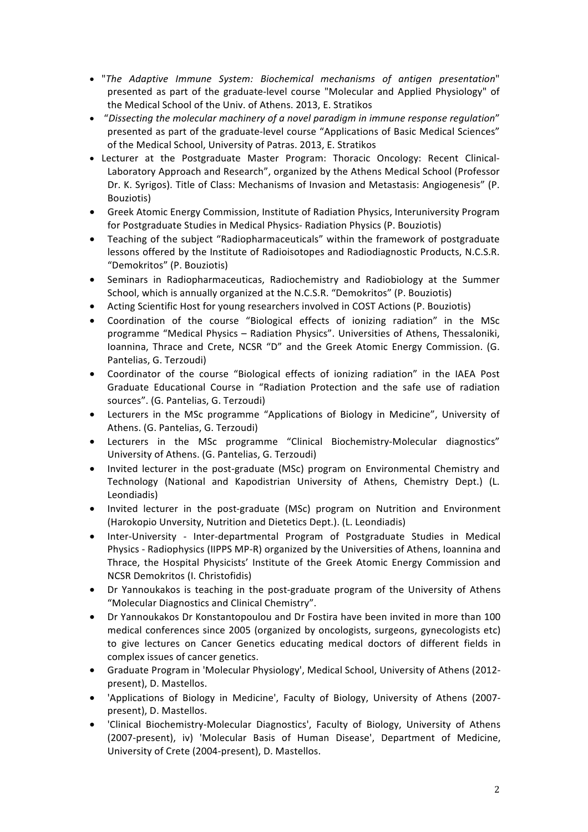- "The Adaptive Immune System: Biochemical mechanisms of antigen presentation" presented as part of the graduate-level course "Molecular and Applied Physiology" of the Medical School of the Univ. of Athens. 2013, E. Stratikos
- "Dissecting the molecular machinery of a novel paradigm in immune response regulation" presented as part of the graduate-level course "Applications of Basic Medical Sciences" of the Medical School, University of Patras. 2013, E. Stratikos
- Lecturer at the Postgraduate Master Program: Thoracic Oncology: Recent Clinical-Laboratory Approach and Research", organized by the Athens Medical School (Professor Dr. K. Syrigos). Title of Class: Mechanisms of Invasion and Metastasis: Angiogenesis" (P. Bouziotis)
- Greek Atomic Energy Commission, Institute of Radiation Physics, Interuniversity Program for Postgraduate Studies in Medical Physics- Radiation Physics (P. Bouziotis)
- Teaching of the subject "Radiopharmaceuticals" within the framework of postgraduate lessons offered by the Institute of Radioisotopes and Radiodiagnostic Products, N.C.S.R. "Demokritos" (P. Bouziotis)
- Seminars in Radiopharmaceuticas, Radiochemistry and Radiobiology at the Summer School, which is annually organized at the N.C.S.R. "Demokritos" (P. Bouziotis)
- Acting Scientific Host for young researchers involved in COST Actions (P. Bouziotis)
- Coordination of the course "Biological effects of ionizing radiation" in the MSc programme "Medical Physics – Radiation Physics". Universities of Athens, Thessaloniki, Ioannina, Thrace and Crete, NCSR "D" and the Greek Atomic Energy Commission. (G. Pantelias, G. Terzoudi)
- Coordinator of the course "Biological effects of ionizing radiation" in the IAEA Post Graduate Educational Course in "Radiation Protection and the safe use of radiation sources". (G. Pantelias, G. Terzoudi)
- Lecturers in the MSc programme "Applications of Biology in Medicine", University of Athens. (G. Pantelias, G. Terzoudi)
- Lecturers in the MSc programme "Clinical Biochemistry-Molecular diagnostics" University of Athens. (G. Pantelias, G. Terzoudi)
- Invited lecturer in the post-graduate (MSc) program on Environmental Chemistry and Technology (National and Kapodistrian University of Athens, Chemistry Dept.) (L. Leondiadis)
- Invited lecturer in the post-graduate (MSc) program on Nutrition and Environment (Harokopio Unversity, Nutrition and Dietetics Dept.). (L. Leondiadis)
- Inter-University Inter-departmental Program of Postgraduate Studies in Medical Physics - Radiophysics (IIPPS MP-R) organized by the Universities of Athens, Ioannina and Thrace, the Hospital Physicists' Institute of the Greek Atomic Energy Commission and NCSR Demokritos (I. Christofidis)
- Dr Yannoukakos is teaching in the post-graduate program of the University of Athens "Molecular Diagnostics and Clinical Chemistry".
- Dr Yannoukakos Dr Konstantopoulou and Dr Fostira have been invited in more than 100 medical conferences since 2005 (organized by oncologists, surgeons, gynecologists etc) to give lectures on Cancer Genetics educating medical doctors of different fields in complex issues of cancer genetics.
- Graduate Program in 'Molecular Physiology', Medical School, University of Athens (2012present), D. Mastellos.
- 'Applications of Biology in Medicine', Faculty of Biology, University of Athens (2007present), D. Mastellos.
- 'Clinical Biochemistry-Molecular Diagnostics', Faculty of Biology, University of Athens (2007-present), iv) 'Molecular Basis of Human Disease', Department of Medicine, University of Crete (2004-present), D. Mastellos.